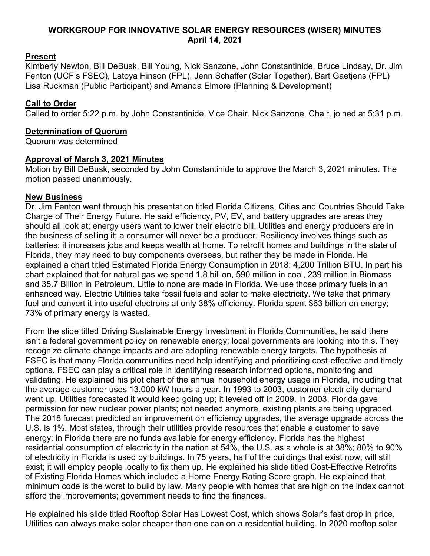## **WORKGROUP FOR INNOVATIVE SOLAR ENERGY RESOURCES (WISER) MINUTES April 14, 2021**

# **Present**

Kimberly Newton, Bill DeBusk, Bill Young, Nick Sanzone, John Constantinide, Bruce Lindsay, Dr. Jim Fenton (UCF's FSEC), Latoya Hinson (FPL), Jenn Schaffer (Solar Together), Bart Gaetjens (FPL) Lisa Ruckman (Public Participant) and Amanda Elmore (Planning & Development)

## **Call to Order**

Called to order 5:22 p.m. by John Constantinide, Vice Chair. Nick Sanzone, Chair, joined at 5:31 p.m.

#### **Determination of Quorum**

Quorum was determined

#### **Approval of March 3, 2021 Minutes**

Motion by Bill DeBusk, seconded by John Constantinide to approve the March 3, 2021 minutes. The motion passed unanimously.

#### **New Business**

Dr. Jim Fenton went through his presentation titled Florida Citizens, Cities and Countries Should Take Charge of Their Energy Future. He said efficiency, PV, EV, and battery upgrades are areas they should all look at; energy users want to lower their electric bill. Utilities and energy producers are in the business of selling it; a consumer will never be a producer. Resiliency involves things such as batteries; it increases jobs and keeps wealth at home. To retrofit homes and buildings in the state of Florida, they may need to buy components overseas, but rather they be made in Florida. He explained a chart titled Estimated Florida Energy Consumption in 2018: 4,200 Trillion BTU. In part his chart explained that for natural gas we spend 1.8 billion, 590 million in coal, 239 million in Biomass and 35.7 Billion in Petroleum. Little to none are made in Florida. We use those primary fuels in an enhanced way. Electric Utilities take fossil fuels and solar to make electricity. We take that primary fuel and convert it into useful electrons at only 38% efficiency. Florida spent \$63 billion on energy; 73% of primary energy is wasted.

From the slide titled Driving Sustainable Energy Investment in Florida Communities, he said there isn't a federal government policy on renewable energy; local governments are looking into this. They recognize climate change impacts and are adopting renewable energy targets. The hypothesis at FSEC is that many Florida communities need help identifying and prioritizing cost-effective and timely options. FSEC can play a critical role in identifying research informed options, monitoring and validating. He explained his plot chart of the annual household energy usage in Florida, including that the average customer uses 13,000 kW hours a year. In 1993 to 2003, customer electricity demand went up. Utilities forecasted it would keep going up; it leveled off in 2009. In 2003, Florida gave permission for new nuclear power plants; not needed anymore, existing plants are being upgraded. The 2018 forecast predicted an improvement on efficiency upgrades, the average upgrade across the U.S. is 1%. Most states, through their utilities provide resources that enable a customer to save energy; in Florida there are no funds available for energy efficiency. Florida has the highest residential consumption of electricity in the nation at 54%, the U.S. as a whole is at 38%; 80% to 90% of electricity in Florida is used by buildings. In 75 years, half of the buildings that exist now, will still exist; it will employ people locally to fix them up. He explained his slide titled Cost-Effective Retrofits of Existing Florida Homes which included a Home Energy Rating Score graph. He explained that minimum code is the worst to build by law. Many people with homes that are high on the index cannot afford the improvements; government needs to find the finances.

He explained his slide titled Rooftop Solar Has Lowest Cost, which shows Solar's fast drop in price. Utilities can always make solar cheaper than one can on a residential building. In 2020 rooftop solar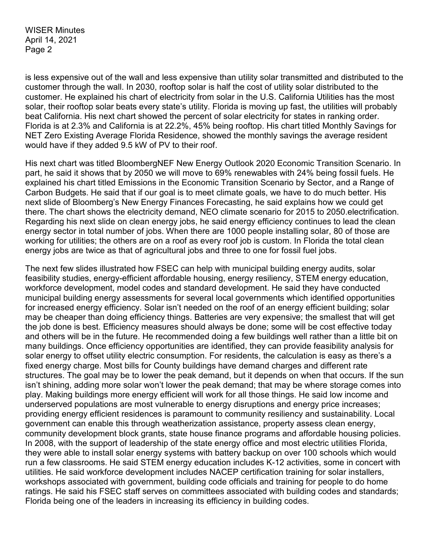is less expensive out of the wall and less expensive than utility solar transmitted and distributed to the customer through the wall. In 2030, rooftop solar is half the cost of utility solar distributed to the customer. He explained his chart of electricity from solar in the U.S. California Utilities has the most solar, their rooftop solar beats every state's utility. Florida is moving up fast, the utilities will probably beat California. His next chart showed the percent of solar electricity for states in ranking order. Florida is at 2.3% and California is at 22.2%, 45% being rooftop. His chart titled Monthly Savings for NET Zero Existing Average Florida Residence, showed the monthly savings the average resident would have if they added 9.5 kW of PV to their roof.

His next chart was titled BloombergNEF New Energy Outlook 2020 Economic Transition Scenario. In part, he said it shows that by 2050 we will move to 69% renewables with 24% being fossil fuels. He explained his chart titled Emissions in the Economic Transition Scenario by Sector, and a Range of Carbon Budgets. He said that if our goal is to meet climate goals, we have to do much better. His next slide of Bloomberg's New Energy Finances Forecasting, he said explains how we could get there. The chart shows the electricity demand, NEO climate scenario for 2015 to 2050.electrification. Regarding his next slide on clean energy jobs, he said energy efficiency continues to lead the clean energy sector in total number of jobs. When there are 1000 people installing solar, 80 of those are working for utilities; the others are on a roof as every roof job is custom. In Florida the total clean energy jobs are twice as that of agricultural jobs and three to one for fossil fuel jobs.

The next few slides illustrated how FSEC can help with municipal building energy audits, solar feasibility studies, energy-efficient affordable housing, energy resiliency, STEM energy education, workforce development, model codes and standard development. He said they have conducted municipal building energy assessments for several local governments which identified opportunities for increased energy efficiency. Solar isn't needed on the roof of an energy efficient building; solar may be cheaper than doing efficiency things. Batteries are very expensive; the smallest that will get the job done is best. Efficiency measures should always be done; some will be cost effective today and others will be in the future. He recommended doing a few buildings well rather than a little bit on many buildings. Once efficiency opportunities are identified, they can provide feasibility analysis for solar energy to offset utility electric consumption. For residents, the calculation is easy as there's a fixed energy charge. Most bills for County buildings have demand charges and different rate structures. The goal may be to lower the peak demand, but it depends on when that occurs. If the sun isn't shining, adding more solar won't lower the peak demand; that may be where storage comes into play. Making buildings more energy efficient will work for all those things. He said low income and underserved populations are most vulnerable to energy disruptions and energy price increases; providing energy efficient residences is paramount to community resiliency and sustainability. Local government can enable this through weatherization assistance, property assess clean energy, community development block grants, state house finance programs and affordable housing policies. In 2008, with the support of leadership of the state energy office and most electric utilities Florida, they were able to install solar energy systems with battery backup on over 100 schools which would run a few classrooms. He said STEM energy education includes K-12 activities, some in concert with utilities. He said workforce development includes NACEP certification training for solar installers, workshops associated with government, building code officials and training for people to do home ratings. He said his FSEC staff serves on committees associated with building codes and standards; Florida being one of the leaders in increasing its efficiency in building codes.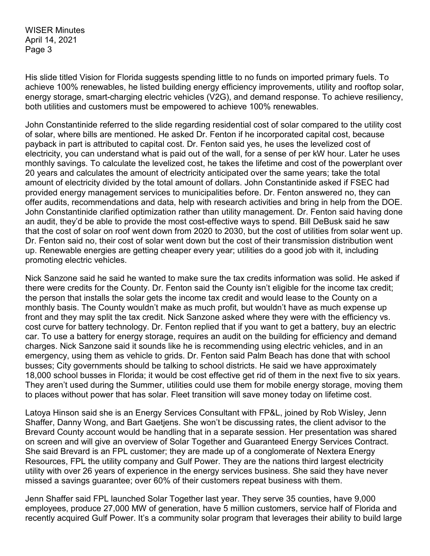His slide titled Vision for Florida suggests spending little to no funds on imported primary fuels. To achieve 100% renewables, he listed building energy efficiency improvements, utility and rooftop solar, energy storage, smart-charging electric vehicles (V2G), and demand response. To achieve resiliency, both utilities and customers must be empowered to achieve 100% renewables.

John Constantinide referred to the slide regarding residential cost of solar compared to the utility cost of solar, where bills are mentioned. He asked Dr. Fenton if he incorporated capital cost, because payback in part is attributed to capital cost. Dr. Fenton said yes, he uses the levelized cost of electricity, you can understand what is paid out of the wall, for a sense of per kW hour. Later he uses monthly savings. To calculate the levelized cost, he takes the lifetime and cost of the powerplant over 20 years and calculates the amount of electricity anticipated over the same years; take the total amount of electricity divided by the total amount of dollars. John Constantinide asked if FSEC had provided energy management services to municipalities before. Dr. Fenton answered no, they can offer audits, recommendations and data, help with research activities and bring in help from the DOE. John Constantinide clarified optimization rather than utility management. Dr. Fenton said having done an audit, they'd be able to provide the most cost-effective ways to spend. Bill DeBusk said he saw that the cost of solar on roof went down from 2020 to 2030, but the cost of utilities from solar went up. Dr. Fenton said no, their cost of solar went down but the cost of their transmission distribution went up. Renewable energies are getting cheaper every year; utilities do a good job with it, including promoting electric vehicles.

Nick Sanzone said he said he wanted to make sure the tax credits information was solid. He asked if there were credits for the County. Dr. Fenton said the County isn't eligible for the income tax credit; the person that installs the solar gets the income tax credit and would lease to the County on a monthly basis. The County wouldn't make as much profit, but wouldn't have as much expense up front and they may split the tax credit. Nick Sanzone asked where they were with the efficiency vs. cost curve for battery technology. Dr. Fenton replied that if you want to get a battery, buy an electric car. To use a battery for energy storage, requires an audit on the building for efficiency and demand charges. Nick Sanzone said it sounds like he is recommending using electric vehicles, and in an emergency, using them as vehicle to grids. Dr. Fenton said Palm Beach has done that with school busses; City governments should be talking to school districts. He said we have approximately 18,000 school busses in Florida; it would be cost effective get rid of them in the next five to six years. They aren't used during the Summer, utilities could use them for mobile energy storage, moving them to places without power that has solar. Fleet transition will save money today on lifetime cost.

Latoya Hinson said she is an Energy Services Consultant with FP&L, joined by Rob Wisley, Jenn Shaffer, Danny Wong, and Bart Gaetjens. She won't be discussing rates, the client advisor to the Brevard County account would be handling that in a separate session. Her presentation was shared on screen and will give an overview of Solar Together and Guaranteed Energy Services Contract. She said Brevard is an FPL customer; they are made up of a conglomerate of Nextera Energy Resources, FPL the utility company and Gulf Power. They are the nations third largest electricity utility with over 26 years of experience in the energy services business. She said they have never missed a savings guarantee; over 60% of their customers repeat business with them.

Jenn Shaffer said FPL launched Solar Together last year. They serve 35 counties, have 9,000 employees, produce 27,000 MW of generation, have 5 million customers, service half of Florida and recently acquired Gulf Power. It's a community solar program that leverages their ability to build large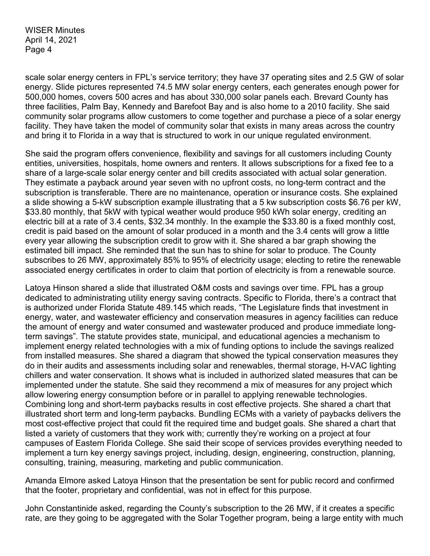scale solar energy centers in FPL's service territory; they have 37 operating sites and 2.5 GW of solar energy. Slide pictures represented 74.5 MW solar energy centers, each generates enough power for 500,000 homes, covers 500 acres and has about 330,000 solar panels each. Brevard County has three facilities, Palm Bay, Kennedy and Barefoot Bay and is also home to a 2010 facility. She said community solar programs allow customers to come together and purchase a piece of a solar energy facility. They have taken the model of community solar that exists in many areas across the country and bring it to Florida in a way that is structured to work in our unique regulated environment.

She said the program offers convenience, flexibility and savings for all customers including County entities, universities, hospitals, home owners and renters. It allows subscriptions for a fixed fee to a share of a large-scale solar energy center and bill credits associated with actual solar generation. They estimate a payback around year seven with no upfront costs, no long-term contract and the subscription is transferable. There are no maintenance, operation or insurance costs. She explained a slide showing a 5-kW subscription example illustrating that a 5 kw subscription costs \$6.76 per kW, \$33.80 monthly, that 5kW with typical weather would produce 950 kWh solar energy, crediting an electric bill at a rate of 3.4 cents, \$32.34 monthly. In the example the \$33.80 is a fixed monthly cost, credit is paid based on the amount of solar produced in a month and the 3.4 cents will grow a little every year allowing the subscription credit to grow with it. She shared a bar graph showing the estimated bill impact. She reminded that the sun has to shine for solar to produce. The County subscribes to 26 MW, approximately 85% to 95% of electricity usage; electing to retire the renewable associated energy certificates in order to claim that portion of electricity is from a renewable source.

Latoya Hinson shared a slide that illustrated O&M costs and savings over time. FPL has a group dedicated to administrating utility energy saving contracts. Specific to Florida, there's a contract that is authorized under Florida Statute 489.145 which reads, "The Legislature finds that investment in energy, water, and wastewater efficiency and conservation measures in agency facilities can reduce the amount of energy and water consumed and wastewater produced and produce immediate longterm savings". The statute provides state, municipal, and educational agencies a mechanism to implement energy related technologies with a mix of funding options to include the savings realized from installed measures. She shared a diagram that showed the typical conservation measures they do in their audits and assessments including solar and renewables, thermal storage, H-VAC lighting chillers and water conservation. It shows what is included in authorized slated measures that can be implemented under the statute. She said they recommend a mix of measures for any project which allow lowering energy consumption before or in parallel to applying renewable technologies. Combining long and short-term paybacks results in cost effective projects. She shared a chart that illustrated short term and long-term paybacks. Bundling ECMs with a variety of paybacks delivers the most cost-effective project that could fit the required time and budget goals. She shared a chart that listed a variety of customers that they work with; currently they're working on a project at four campuses of Eastern Florida College. She said their scope of services provides everything needed to implement a turn key energy savings project, including, design, engineering, construction, planning, consulting, training, measuring, marketing and public communication.

Amanda Elmore asked Latoya Hinson that the presentation be sent for public record and confirmed that the footer, proprietary and confidential, was not in effect for this purpose.

John Constantinide asked, regarding the County's subscription to the 26 MW, if it creates a specific rate, are they going to be aggregated with the Solar Together program, being a large entity with much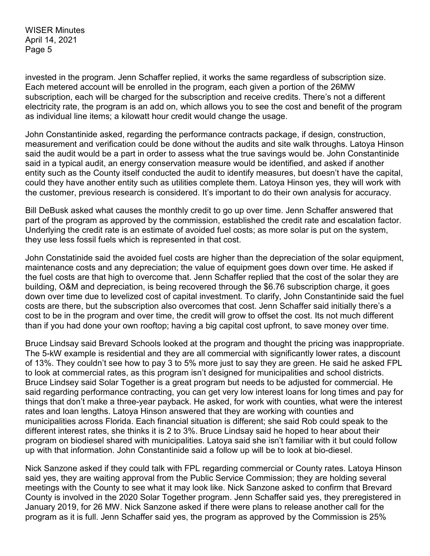invested in the program. Jenn Schaffer replied, it works the same regardless of subscription size. Each metered account will be enrolled in the program, each given a portion of the 26MW subscription, each will be charged for the subscription and receive credits. There's not a different electricity rate, the program is an add on, which allows you to see the cost and benefit of the program as individual line items; a kilowatt hour credit would change the usage.

John Constantinide asked, regarding the performance contracts package, if design, construction, measurement and verification could be done without the audits and site walk throughs. Latoya Hinson said the audit would be a part in order to assess what the true savings would be. John Constantinide said in a typical audit, an energy conservation measure would be identified, and asked if another entity such as the County itself conducted the audit to identify measures, but doesn't have the capital, could they have another entity such as utilities complete them. Latoya Hinson yes, they will work with the customer, previous research is considered. It's important to do their own analysis for accuracy.

Bill DeBusk asked what causes the monthly credit to go up over time. Jenn Schaffer answered that part of the program as approved by the commission, established the credit rate and escalation factor. Underlying the credit rate is an estimate of avoided fuel costs; as more solar is put on the system, they use less fossil fuels which is represented in that cost.

John Constatinide said the avoided fuel costs are higher than the depreciation of the solar equipment, maintenance costs and any depreciation; the value of equipment goes down over time. He asked if the fuel costs are that high to overcome that. Jenn Schaffer replied that the cost of the solar they are building, O&M and depreciation, is being recovered through the \$6.76 subscription charge, it goes down over time due to levelized cost of capital investment. To clarify, John Constantinide said the fuel costs are there, but the subscription also overcomes that cost. Jenn Schaffer said initially there's a cost to be in the program and over time, the credit will grow to offset the cost. Its not much different than if you had done your own rooftop; having a big capital cost upfront, to save money over time.

Bruce Lindsay said Brevard Schools looked at the program and thought the pricing was inappropriate. The 5-kW example is residential and they are all commercial with significantly lower rates, a discount of 13%. They couldn't see how to pay 3 to 5% more just to say they are green. He said he asked FPL to look at commercial rates, as this program isn't designed for municipalities and school districts. Bruce Lindsey said Solar Together is a great program but needs to be adjusted for commercial. He said regarding performance contracting, you can get very low interest loans for long times and pay for things that don't make a three-year payback. He asked, for work with counties, what were the interest rates and loan lengths. Latoya Hinson answered that they are working with counties and municipalities across Florida. Each financial situation is different; she said Rob could speak to the different interest rates, she thinks it is 2 to 3%. Bruce Lindsay said he hoped to hear about their program on biodiesel shared with municipalities. Latoya said she isn't familiar with it but could follow up with that information. John Constantinide said a follow up will be to look at bio-diesel.

Nick Sanzone asked if they could talk with FPL regarding commercial or County rates. Latoya Hinson said yes, they are waiting approval from the Public Service Commission; they are holding several meetings with the County to see what it may look like. Nick Sanzone asked to confirm that Brevard County is involved in the 2020 Solar Together program. Jenn Schaffer said yes, they preregistered in January 2019, for 26 MW. Nick Sanzone asked if there were plans to release another call for the program as it is full. Jenn Schaffer said yes, the program as approved by the Commission is 25%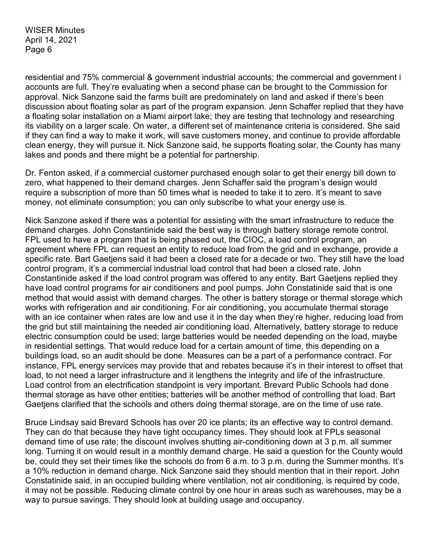residential and 75% commercial & government industrial accounts; the commercial and government i accounts are full. They're evaluating when a second phase can be brought to the Commission for approval. Nick Sanzone said the farms built are predominately on land and asked if there's been discussion about floating solar as part of the program expansion. Jenn Schaffer replied that they have a floating solar installation on a Miami airport lake; they are testing that technology and researching its viability on a larger scale. On water, a different set of maintenance criteria is considered. She said if they can find a way to make it work, will save customers money, and continue to provide affordable clean energy, they will pursue it. Nick Sanzone said, he supports floating solar, the County has many lakes and ponds and there might be a potential for partnership.

Dr. Fenton asked, if a commercial customer purchased enough solar to get their energy bill down to zero, what happened to their demand charges. Jenn Schaffer said the program's design would require a subscription of more than 50 times what is needed to take it to zero. It's meant to save money, not eliminate consumption; you can only subscribe to what your energy use is.

Nick Sanzone asked if there was a potential for assisting with the smart infrastructure to reduce the demand charges. John Constantinide said the best way is through battery storage remote control. FPL used to have a program that is being phased out, the CIOC, a load control program, an agreement where FPL can request an entity to reduce load from the grid and in exchange, provide a specific rate. Bart Gaetjens said it had been a closed rate for a decade or two. They still have the load control program, it's a commercial industrial load control that had been a closed rate. John Constantinide asked if the load control program was offered to any entity. Bart Gaetjens replied they have load control programs for air conditioners and pool pumps. John Constatinide said that is one method that would assist with demand charges. The other is battery storage or thermal storage which works with refrigeration and air conditioning. For air conditioning, you accumulate thermal storage with an ice container when rates are low and use it in the day when they're higher, reducing load from the grid but still maintaining the needed air conditioning load. Alternatively, battery storage to reduce electric consumption could be used; large batteries would be needed depending on the load, maybe in residential settings. That would reduce load for a certain amount of time, this depending on a buildings load, so an audit should be done. Measures can be a part of a performance contract. For instance, FPL energy services may provide that and rebates because it's in their interest to offset that load, to not need a larger infrastructure and it lengthens the integrity and life of the infrastructure. Load control from an electrification standpoint is very important. Brevard Public Schools had done thermal storage as have other entities; batteries will be another method of controlling that load. Bart Gaetjens clarified that the schools and others doing thermal storage, are on the time of use rate.

Bruce Lindsay said Brevard Schools has over 20 ice plants; its an effective way to control demand. They can do that because they have tight occupancy times. They should look at FPLs seasonal demand time of use rate; the discount involves shutting air-conditioning down at 3 p.m. all summer long. Turning it on would result in a monthly demand charge. He said a question for the County would be, could they set their times like the schools do from 6 a.m. to 3 p.m. during the Summer months. It's a 10% reduction in demand charge. Nick Sanzone said they should mention that in their report. John Constatinide said, in an occupied building where ventilation, not air conditioning, is required by code, it may not be possible. Reducing climate control by one hour in areas such as warehouses, may be a way to pursue savings. They should look at building usage and occupancy.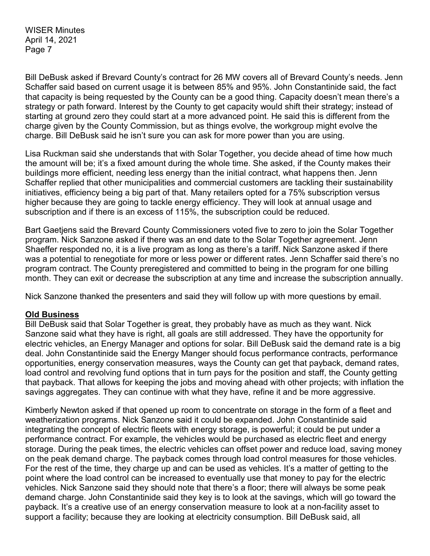Bill DeBusk asked if Brevard County's contract for 26 MW covers all of Brevard County's needs. Jenn Schaffer said based on current usage it is between 85% and 95%. John Constantinide said, the fact that capacity is being requested by the County can be a good thing. Capacity doesn't mean there's a strategy or path forward. Interest by the County to get capacity would shift their strategy; instead of starting at ground zero they could start at a more advanced point. He said this is different from the charge given by the County Commission, but as things evolve, the workgroup might evolve the charge. Bill DeBusk said he isn't sure you can ask for more power than you are using.

Lisa Ruckman said she understands that with Solar Together, you decide ahead of time how much the amount will be; it's a fixed amount during the whole time. She asked, if the County makes their buildings more efficient, needing less energy than the initial contract, what happens then. Jenn Schaffer replied that other municipalities and commercial customers are tackling their sustainability initiatives, efficiency being a big part of that. Many retailers opted for a 75% subscription versus higher because they are going to tackle energy efficiency. They will look at annual usage and subscription and if there is an excess of 115%, the subscription could be reduced.

Bart Gaetjens said the Brevard County Commissioners voted five to zero to join the Solar Together program. Nick Sanzone asked if there was an end date to the Solar Together agreement. Jenn Shaeffer responded no, it is a live program as long as there's a tariff. Nick Sanzone asked if there was a potential to renegotiate for more or less power or different rates. Jenn Schaffer said there's no program contract. The County preregistered and committed to being in the program for one billing month. They can exit or decrease the subscription at any time and increase the subscription annually.

Nick Sanzone thanked the presenters and said they will follow up with more questions by email.

#### **Old Business**

Bill DeBusk said that Solar Together is great, they probably have as much as they want. Nick Sanzone said what they have is right, all goals are still addressed. They have the opportunity for electric vehicles, an Energy Manager and options for solar. Bill DeBusk said the demand rate is a big deal. John Constantinide said the Energy Manger should focus performance contracts, performance opportunities, energy conservation measures, ways the County can get that payback, demand rates, load control and revolving fund options that in turn pays for the position and staff, the County getting that payback. That allows for keeping the jobs and moving ahead with other projects; with inflation the savings aggregates. They can continue with what they have, refine it and be more aggressive.

Kimberly Newton asked if that opened up room to concentrate on storage in the form of a fleet and weatherization programs. Nick Sanzone said it could be expanded. John Constantinide said integrating the concept of electric fleets with energy storage, is powerful; it could be put under a performance contract. For example, the vehicles would be purchased as electric fleet and energy storage. During the peak times, the electric vehicles can offset power and reduce load, saving money on the peak demand charge. The payback comes through load control measures for those vehicles. For the rest of the time, they charge up and can be used as vehicles. It's a matter of getting to the point where the load control can be increased to eventually use that money to pay for the electric vehicles. Nick Sanzone said they should note that there's a floor; there will always be some peak demand charge. John Constantinide said they key is to look at the savings, which will go toward the payback. It's a creative use of an energy conservation measure to look at a non-facility asset to support a facility; because they are looking at electricity consumption. Bill DeBusk said, all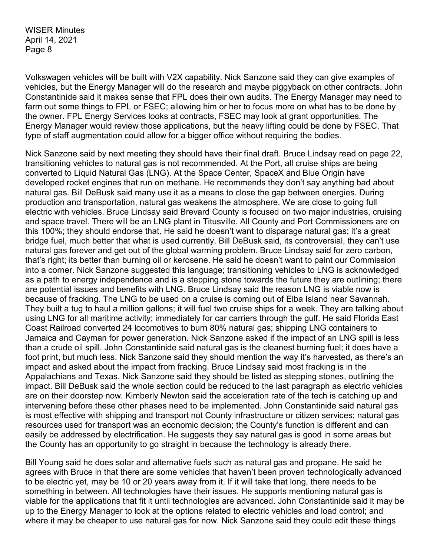Volkswagen vehicles will be built with V2X capability. Nick Sanzone said they can give examples of vehicles, but the Energy Manager will do the research and maybe piggyback on other contracts. John Constantinide said it makes sense that FPL does their own audits. The Energy Manager may need to farm out some things to FPL or FSEC; allowing him or her to focus more on what has to be done by the owner. FPL Energy Services looks at contracts, FSEC may look at grant opportunities. The Energy Manager would review those applications, but the heavy lifting could be done by FSEC. That type of staff augmentation could allow for a bigger office without requiring the bodies.

Nick Sanzone said by next meeting they should have their final draft. Bruce Lindsay read on page 22, transitioning vehicles to natural gas is not recommended. At the Port, all cruise ships are being converted to Liquid Natural Gas (LNG). At the Space Center, SpaceX and Blue Origin have developed rocket engines that run on methane. He recommends they don't say anything bad about natural gas. Bill DeBusk said many use it as a means to close the gap between energies. During production and transportation, natural gas weakens the atmosphere. We are close to going full electric with vehicles. Bruce Lindsay said Brevard County is focused on two major industries, cruising and space travel. There will be an LNG plant in Titusville. All County and Port Commissioners are on this 100%; they should endorse that. He said he doesn't want to disparage natural gas; it's a great bridge fuel, much better that what is used currently. Bill DeBusk said, its controversial, they can't use natural gas forever and get out of the global warming problem. Bruce Lindsay said for zero carbon, that's right; its better than burning oil or kerosene. He said he doesn't want to paint our Commission into a corner. Nick Sanzone suggested this language; transitioning vehicles to LNG is acknowledged as a path to energy independence and is a stepping stone towards the future they are outlining; there are potential issues and benefits with LNG. Bruce Lindsay said the reason LNG is viable now is because of fracking. The LNG to be used on a cruise is coming out of Elba Island near Savannah. They built a tug to haul a million gallons; it will fuel two cruise ships for a week. They are talking about using LNG for all maritime activity; immediately for car carriers through the gulf. He said Florida East Coast Railroad converted 24 locomotives to burn 80% natural gas; shipping LNG containers to Jamaica and Cayman for power generation. Nick Sanzone asked if the impact of an LNG spill is less than a crude oil spill. John Constantinide said natural gas is the cleanest burning fuel; it does have a foot print, but much less. Nick Sanzone said they should mention the way it's harvested, as there's an impact and asked about the impact from fracking. Bruce Lindsay said most fracking is in the Appalachians and Texas. Nick Sanzone said they should be listed as stepping stones, outlining the impact. Bill DeBusk said the whole section could be reduced to the last paragraph as electric vehicles are on their doorstep now. Kimberly Newton said the acceleration rate of the tech is catching up and intervening before these other phases need to be implemented. John Constantinide said natural gas is most effective with shipping and transport not County infrastructure or citizen services; natural gas resources used for transport was an economic decision; the County's function is different and can easily be addressed by electrification. He suggests they say natural gas is good in some areas but the County has an opportunity to go straight in because the technology is already there.

Bill Young said he does solar and alternative fuels such as natural gas and propane. He said he agrees with Bruce in that there are some vehicles that haven't been proven technologically advanced to be electric yet, may be 10 or 20 years away from it. If it will take that long, there needs to be something in between. All technologies have their issues. He supports mentioning natural gas is viable for the applications that fit it until technologies are advanced. John Constantinide said it may be up to the Energy Manager to look at the options related to electric vehicles and load control; and where it may be cheaper to use natural gas for now. Nick Sanzone said they could edit these things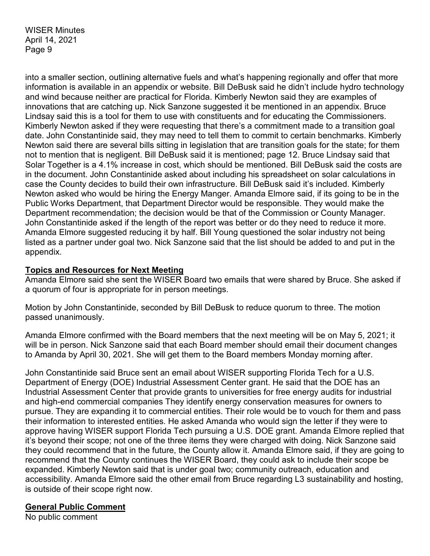into a smaller section, outlining alternative fuels and what's happening regionally and offer that more information is available in an appendix or website. Bill DeBusk said he didn't include hydro technology and wind because neither are practical for Florida. Kimberly Newton said they are examples of innovations that are catching up. Nick Sanzone suggested it be mentioned in an appendix. Bruce Lindsay said this is a tool for them to use with constituents and for educating the Commissioners. Kimberly Newton asked if they were requesting that there's a commitment made to a transition goal date. John Constantinide said, they may need to tell them to commit to certain benchmarks. Kimberly Newton said there are several bills sitting in legislation that are transition goals for the state; for them not to mention that is negligent. Bill DeBusk said it is mentioned; page 12. Bruce Lindsay said that Solar Together is a 4.1% increase in cost, which should be mentioned. Bill DeBusk said the costs are in the document. John Constantinide asked about including his spreadsheet on solar calculations in case the County decides to build their own infrastructure. Bill DeBusk said it's included. Kimberly Newton asked who would be hiring the Energy Manger. Amanda Elmore said, if its going to be in the Public Works Department, that Department Director would be responsible. They would make the Department recommendation; the decision would be that of the Commission or County Manager. John Constantinide asked if the length of the report was better or do they need to reduce it more. Amanda Elmore suggested reducing it by half. Bill Young questioned the solar industry not being listed as a partner under goal two. Nick Sanzone said that the list should be added to and put in the appendix.

#### **Topics and Resources for Next Meeting**

Amanda Elmore said she sent the WISER Board two emails that were shared by Bruce. She asked if a quorum of four is appropriate for in person meetings.

Motion by John Constantinide, seconded by Bill DeBusk to reduce quorum to three. The motion passed unanimously.

Amanda Elmore confirmed with the Board members that the next meeting will be on May 5, 2021; it will be in person. Nick Sanzone said that each Board member should email their document changes to Amanda by April 30, 2021. She will get them to the Board members Monday morning after.

John Constantinide said Bruce sent an email about WISER supporting Florida Tech for a U.S. Department of Energy (DOE) Industrial Assessment Center grant. He said that the DOE has an Industrial Assessment Center that provide grants to universities for free energy audits for industrial and high-end commercial companies They identify energy conservation measures for owners to pursue. They are expanding it to commercial entities. Their role would be to vouch for them and pass their information to interested entities. He asked Amanda who would sign the letter if they were to approve having WISER support Florida Tech pursuing a U.S. DOE grant. Amanda Elmore replied that it's beyond their scope; not one of the three items they were charged with doing. Nick Sanzone said they could recommend that in the future, the County allow it. Amanda Elmore said, if they are going to recommend that the County continues the WISER Board, they could ask to include their scope be expanded. Kimberly Newton said that is under goal two; community outreach, education and accessibility. Amanda Elmore said the other email from Bruce regarding L3 sustainability and hosting, is outside of their scope right now.

#### **General Public Comment**

No public comment